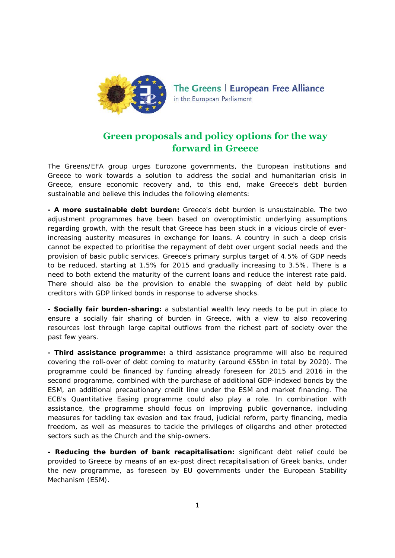

The Greens | European Free Alliance in the European Parliament

## **Green proposals and policy options for the way forward in Greece**

The Greens/EFA group urges Eurozone governments, the European institutions and Greece to work towards a solution to address the social and humanitarian crisis in Greece, ensure economic recovery and, to this end, make Greece's debt burden sustainable and believe this includes the following elements:

**- A more sustainable debt burden:** Greece's debt burden is unsustainable. The two adjustment programmes have been based on overoptimistic underlying assumptions regarding growth, with the result that Greece has been stuck in a vicious circle of everincreasing austerity measures in exchange for loans. A country in such a deep crisis cannot be expected to prioritise the repayment of debt over urgent social needs and the provision of basic public services. Greece's primary surplus target of 4.5% of GDP needs to be reduced, starting at 1.5% for 2015 and gradually increasing to 3.5%. There is a need to both extend the maturity of the current loans and reduce the interest rate paid. There should also be the provision to enable the swapping of debt held by public creditors with GDP linked bonds in response to adverse shocks.

**- Socially fair burden-sharing:** a substantial wealth levy needs to be put in place to ensure a socially fair sharing of burden in Greece, with a view to also recovering resources lost through large capital outflows from the richest part of society over the past few years.

**- Third assistance programme:** a third assistance programme will also be required covering the roll-over of debt coming to maturity (around  $\epsilon$ 55bn in total by 2020). The programme could be financed by funding already foreseen for 2015 and 2016 in the second programme, combined with the purchase of additional GDP-indexed bonds by the ESM, an additional precautionary credit line under the ESM and market financing. The ECB's Quantitative Easing programme could also play a role. In combination with assistance, the programme should focus on improving public governance, including measures for tackling tax evasion and tax fraud, judicial reform, party financing, media freedom, as well as measures to tackle the privileges of oligarchs and other protected sectors such as the Church and the ship-owners.

**- Reducing the burden of bank recapitalisation:** significant debt relief could be provided to Greece by means of an ex-post direct recapitalisation of Greek banks, under the new programme, as foreseen by EU governments under the European Stability Mechanism (ESM).